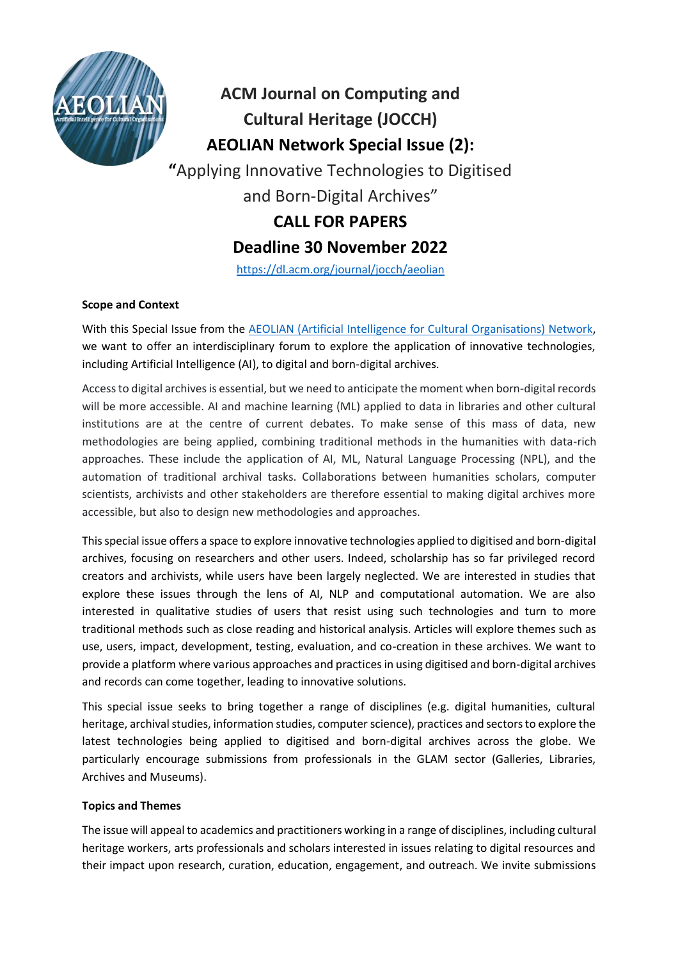

**ACM Journal on Computing and Cultural Heritage (JOCCH) AEOLIAN Network Special Issue (2): "**Applying Innovative Technologies to Digitised and Born-Digital Archives" **CALL FOR PAPERS Deadline 30 November 2022**

<https://dl.acm.org/journal/jocch/aeolian>

# **Scope and Context**

With this Special Issue from the **AEOLIAN** (Artificial Intelligence for Cultural Organisations) Network, we want to offer an interdisciplinary forum to explore the application of innovative technologies, including Artificial Intelligence (AI), to digital and born-digital archives.

Access to digital archives is essential, but we need to anticipate the moment when born-digital records will be more accessible. AI and machine learning (ML) applied to data in libraries and other cultural institutions are at the centre of current debates. To make sense of this mass of data, new methodologies are being applied, combining traditional methods in the humanities with data-rich approaches. These include the application of AI, ML, Natural Language Processing (NPL), and the automation of traditional archival tasks. Collaborations between humanities scholars, computer scientists, archivists and other stakeholders are therefore essential to making digital archives more accessible, but also to design new methodologies and approaches.

This special issue offers a space to explore innovative technologies applied to digitised and born-digital archives, focusing on researchers and other users. Indeed, scholarship has so far privileged record creators and archivists, while users have been largely neglected. We are interested in studies that explore these issues through the lens of AI, NLP and computational automation. We are also interested in qualitative studies of users that resist using such technologies and turn to more traditional methods such as close reading and historical analysis. Articles will explore themes such as use, users, impact, development, testing, evaluation, and co-creation in these archives. We want to provide a platform where various approaches and practices in using digitised and born-digital archives and records can come together, leading to innovative solutions.

This special issue seeks to bring together a range of disciplines (e.g. digital humanities, cultural heritage, archival studies, information studies, computer science), practices and sectors to explore the latest technologies being applied to digitised and born-digital archives across the globe. We particularly encourage submissions from professionals in the GLAM sector (Galleries, Libraries, Archives and Museums).

### **Topics and Themes**

The issue will appeal to academics and practitioners working in a range of disciplines, including cultural heritage workers, arts professionals and scholars interested in issues relating to digital resources and their impact upon research, curation, education, engagement, and outreach. We invite submissions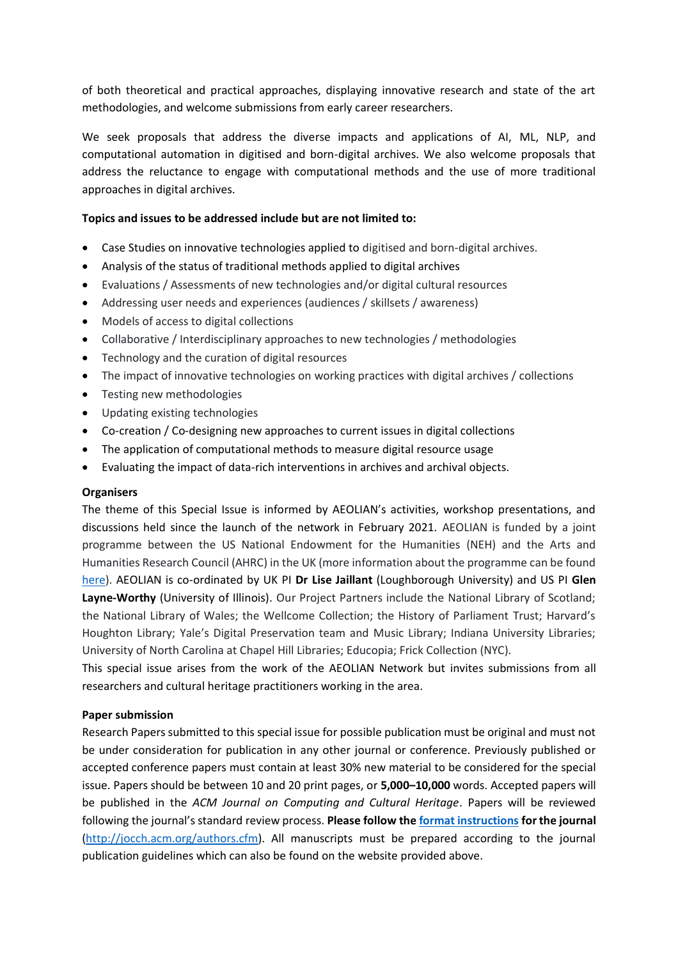of both theoretical and practical approaches, displaying innovative research and state of the art methodologies, and welcome submissions from early career researchers.

We seek proposals that address the diverse impacts and applications of AI, ML, NLP, and computational automation in digitised and born-digital archives. We also welcome proposals that address the reluctance to engage with computational methods and the use of more traditional approaches in digital archives.

## **Topics and issues to be addressed include but are not limited to:**

- Case Studies on innovative technologies applied to digitised and born-digital archives.
- Analysis of the status of traditional methods applied to digital archives
- Evaluations / Assessments of new technologies and/or digital cultural resources
- Addressing user needs and experiences (audiences / skillsets / awareness)
- Models of access to digital collections
- Collaborative / Interdisciplinary approaches to new technologies / methodologies
- Technology and the curation of digital resources
- The impact of innovative technologies on working practices with digital archives / collections
- Testing new methodologies
- Updating existing technologies
- Co-creation / Co-designing new approaches to current issues in digital collections
- The application of computational methods to measure digital resource usage
- Evaluating the impact of data-rich interventions in archives and archival objects.

#### **Organisers**

The theme of this Special Issue is informed by AEOLIAN's activities, workshop presentations, and discussions held since the launch of the network in February 2021. AEOLIAN is funded by a joint programme between the US National Endowment for the Humanities (NEH) and the Arts and Humanities Research Council (AHRC) in the UK (more information about the programme can be found [here\)](https://www.ukri.org/news/grants-announced-with-neh/). AEOLIAN is co-ordinated by UK PI **Dr Lise Jaillant** (Loughborough University) and US PI **Glen Layne-Worthy** (University of Illinois). Our Project Partners include the National Library of Scotland; the National Library of Wales; the Wellcome Collection; the History of Parliament Trust; Harvard's Houghton Library; Yale's Digital Preservation team and Music Library; Indiana University Libraries; University of North Carolina at Chapel Hill Libraries; Educopia; Frick Collection (NYC).

This special issue arises from the work of the AEOLIAN Network but invites submissions from all researchers and cultural heritage practitioners working in the area.

#### **Paper submission**

Research Papers submitted to this special issue for possible publication must be original and must not be under consideration for publication in any other journal or conference. Previously published or accepted conference papers must contain at least 30% new material to be considered for the special issue. Papers should be between 10 and 20 print pages, or **5,000–10,000** words. Accepted papers will be published in the *ACM Journal on Computing and Cultural Heritage*. Papers will be reviewed following the journal's standard review process. **Please follow th[e format instructions](http://jocch.acm.org/formats) for the journal** [\(http://jocch.acm.org/authors.cfm\)](http://jocch.acm.org/authors.cfm). All manuscripts must be prepared according to the journal publication guidelines which can also be found on the website provided above.